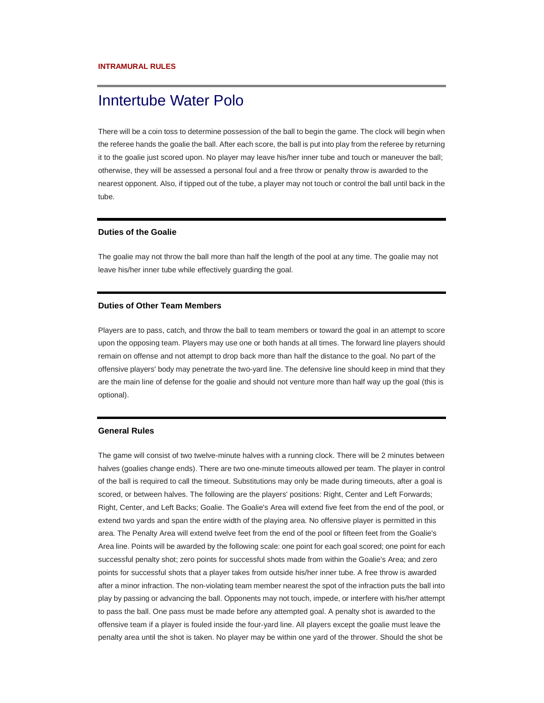# Inntertube Water Polo

There will be a coin toss to determine possession of the ball to begin the game. The clock will begin when the referee hands the goalie the ball. After each score, the ball is put into play from the referee by returning it to the goalie just scored upon. No player may leave his/her inner tube and touch or maneuver the ball; otherwise, they will be assessed a personal foul and a free throw or penalty throw is awarded to the nearest opponent. Also, if tipped out of the tube, a player may not touch or control the ball until back in the tube.

#### **Duties of the Goalie**

The goalie may not throw the ball more than half the length of the pool at any time. The goalie may not leave his/her inner tube while effectively guarding the goal.

### **Duties of Other Team Members**

Players are to pass, catch, and throw the ball to team members or toward the goal in an attempt to score upon the opposing team. Players may use one or both hands at all times. The forward line players should remain on offense and not attempt to drop back more than half the distance to the goal. No part of the offensive players' body may penetrate the two-yard line. The defensive line should keep in mind that they are the main line of defense for the goalie and should not venture more than half way up the goal (this is optional).

### **General Rules**

The game will consist of two twelve-minute halves with a running clock. There will be 2 minutes between halves (goalies change ends). There are two one-minute timeouts allowed per team. The player in control of the ball is required to call the timeout. Substitutions may only be made during timeouts, after a goal is scored, or between halves. The following are the players' positions: Right, Center and Left Forwards; Right, Center, and Left Backs; Goalie. The Goalie's Area will extend five feet from the end of the pool, or extend two yards and span the entire width of the playing area. No offensive player is permitted in this area. The Penalty Area will extend twelve feet from the end of the pool or fifteen feet from the Goalie's Area line. Points will be awarded by the following scale: one point for each goal scored; one point for each successful penalty shot; zero points for successful shots made from within the Goalie's Area; and zero points for successful shots that a player takes from outside his/her inner tube. A free throw is awarded after a minor infraction. The non-violating team member nearest the spot of the infraction puts the ball into play by passing or advancing the ball. Opponents may not touch, impede, or interfere with his/her attempt to pass the ball. One pass must be made before any attempted goal. A penalty shot is awarded to the offensive team if a player is fouled inside the four-yard line. All players except the goalie must leave the penalty area until the shot is taken. No player may be within one yard of the thrower. Should the shot be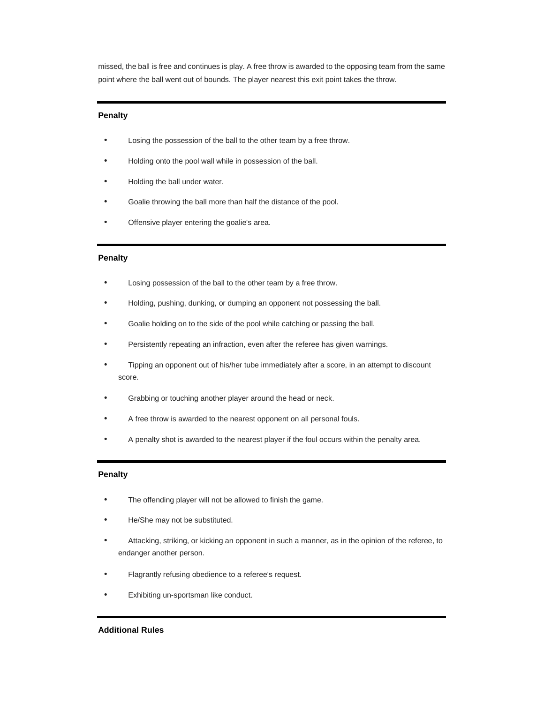missed, the ball is free and continues is play. A free throw is awarded to the opposing team from the same point where the ball went out of bounds. The player nearest this exit point takes the throw.

## **Penalty**

- Losing the possession of the ball to the other team by a free throw.
- Holding onto the pool wall while in possession of the ball.
- Holding the ball under water.
- Goalie throwing the ball more than half the distance of the pool.
- Offensive player entering the goalie's area.

# **Penalty**

- Losing possession of the ball to the other team by a free throw.
- Holding, pushing, dunking, or dumping an opponent not possessing the ball.
- Goalie holding on to the side of the pool while catching or passing the ball.
- Persistently repeating an infraction, even after the referee has given warnings.
- Tipping an opponent out of his/her tube immediately after a score, in an attempt to discount score.
- Grabbing or touching another player around the head or neck.
- A free throw is awarded to the nearest opponent on all personal fouls.
- A penalty shot is awarded to the nearest player if the foul occurs within the penalty area.

## **Penalty**

- The offending player will not be allowed to finish the game.
- He/She may not be substituted.
- Attacking, striking, or kicking an opponent in such a manner, as in the opinion of the referee, to endanger another person.
- Flagrantly refusing obedience to a referee's request.
- Exhibiting un-sportsman like conduct.

## **Additional Rules**